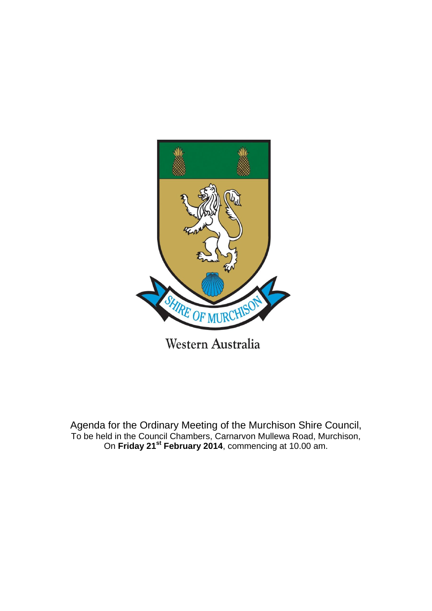

Agenda for the Ordinary Meeting of the Murchison Shire Council, To be held in the Council Chambers, Carnarvon Mullewa Road, Murchison, On **Friday 21st February 2014**, commencing at 10.00 am.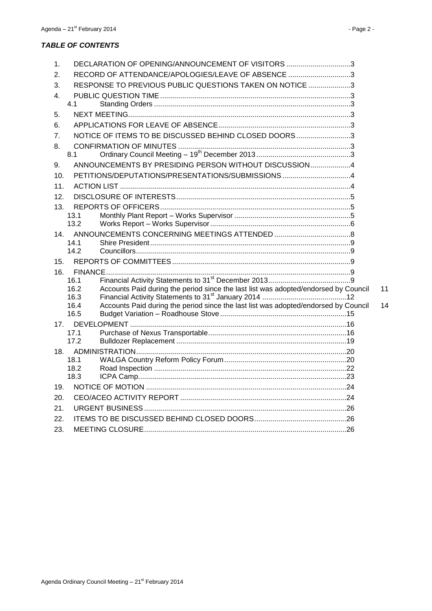# *TABLE OF CONTENTS*

| 1.  | DECLARATION OF OPENING/ANNOUNCEMENT OF VISITORS 3                                                   |    |
|-----|-----------------------------------------------------------------------------------------------------|----|
| 2.  | RECORD OF ATTENDANCE/APOLOGIES/LEAVE OF ABSENCE 3                                                   |    |
| 3.  | RESPONSE TO PREVIOUS PUBLIC QUESTIONS TAKEN ON NOTICE 3                                             |    |
| 4.  |                                                                                                     |    |
|     | 4.1                                                                                                 |    |
| 5.  |                                                                                                     |    |
| 6.  |                                                                                                     |    |
| 7.  | NOTICE OF ITEMS TO BE DISCUSSED BEHIND CLOSED DOORS 3                                               |    |
| 8.  |                                                                                                     |    |
|     | 8.1                                                                                                 |    |
| 9.  | ANNOUNCEMENTS BY PRESIDING PERSON WITHOUT DISCUSSION4                                               |    |
| 10. | PETITIONS/DEPUTATIONS/PRESENTATIONS/SUBMISSIONS 4                                                   |    |
| 11. |                                                                                                     |    |
| 12. |                                                                                                     |    |
| 13. |                                                                                                     |    |
|     | 13.1<br>13.2                                                                                        |    |
|     |                                                                                                     |    |
| 14. | 14.1                                                                                                |    |
|     | 14.2                                                                                                |    |
| 15. |                                                                                                     |    |
| 16. |                                                                                                     |    |
|     | 16.1                                                                                                |    |
|     | Accounts Paid during the period since the last list was adopted/endorsed by Council<br>16.2         | 11 |
|     | 16.3<br>Accounts Paid during the period since the last list was adopted/endorsed by Council<br>16.4 | 14 |
|     | 16.5                                                                                                |    |
| 17. |                                                                                                     |    |
|     | 17.1                                                                                                |    |
|     | 17.2                                                                                                |    |
| 18. |                                                                                                     |    |
|     | 18.1<br>18.2                                                                                        |    |
|     | 18.3                                                                                                |    |
| 19. |                                                                                                     |    |
| 20. |                                                                                                     |    |
| 21. |                                                                                                     |    |
| 22. |                                                                                                     |    |
| 23. |                                                                                                     |    |
|     |                                                                                                     |    |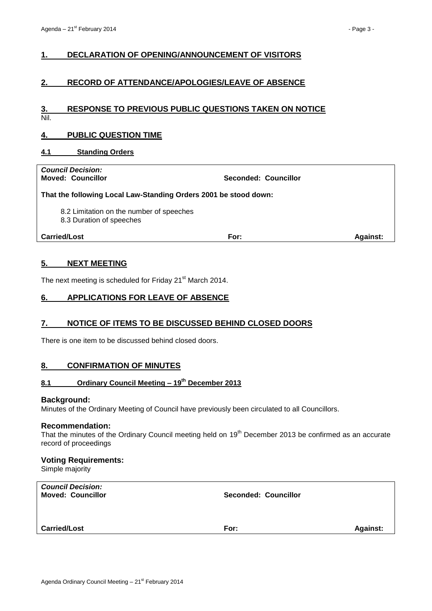# <span id="page-2-0"></span>**1. DECLARATION OF OPENING/ANNOUNCEMENT OF VISITORS**

# <span id="page-2-1"></span>**2. RECORD OF ATTENDANCE/APOLOGIES/LEAVE OF ABSENCE**

#### <span id="page-2-2"></span>**3. RESPONSE TO PREVIOUS PUBLIC QUESTIONS TAKEN ON NOTICE** Nil.

# <span id="page-2-3"></span>**4. PUBLIC QUESTION TIME**

#### <span id="page-2-4"></span>**4.1 Standing Orders**

*Council Decision:*

**Moved: Councillor Seconded: Councillor**

#### **That the following Local Law-Standing Orders 2001 be stood down:**

8.2 Limitation on the number of speeches

8.3 Duration of speeches

**Carried/Lost For: Against:**

# <span id="page-2-5"></span>**5. NEXT MEETING**

The next meeting is scheduled for Friday 21<sup>st</sup> March 2014.

# <span id="page-2-6"></span>**6. APPLICATIONS FOR LEAVE OF ABSENCE**

## <span id="page-2-7"></span>**7. NOTICE OF ITEMS TO BE DISCUSSED BEHIND CLOSED DOORS**

There is one item to be discussed behind closed doors.

# <span id="page-2-8"></span>**8. CONFIRMATION OF MINUTES**

# <span id="page-2-9"></span>**8.1 Ordinary Council Meeting – 19th December 2013**

#### **Background:**

Minutes of the Ordinary Meeting of Council have previously been circulated to all Councillors.

#### **Recommendation:**

That the minutes of the Ordinary Council meeting held on 19<sup>th</sup> December 2013 be confirmed as an accurate record of proceedings

## **Voting Requirements:**

Simple majority

| <b>Council Decision:</b><br><b>Moved: Councillor</b> | Seconded: Councillor |                 |
|------------------------------------------------------|----------------------|-----------------|
| <b>Carried/Lost</b>                                  | For:                 | <b>Against:</b> |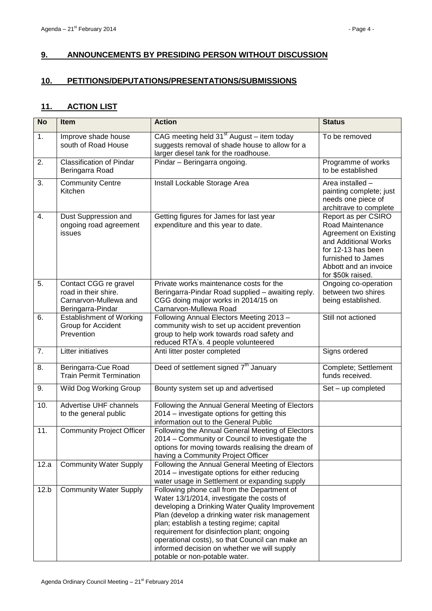# <span id="page-3-0"></span>**9. ANNOUNCEMENTS BY PRESIDING PERSON WITHOUT DISCUSSION**

# <span id="page-3-1"></span>**10. PETITIONS/DEPUTATIONS/PRESENTATIONS/SUBMISSIONS**

# <span id="page-3-2"></span>**11. ACTION LIST**

| <b>No</b> | <b>Item</b>                                                                                 | <b>Action</b>                                                                                                                                                                                                                                                                                                                                                                                                                | <b>Status</b>                                                                                                                                                                             |
|-----------|---------------------------------------------------------------------------------------------|------------------------------------------------------------------------------------------------------------------------------------------------------------------------------------------------------------------------------------------------------------------------------------------------------------------------------------------------------------------------------------------------------------------------------|-------------------------------------------------------------------------------------------------------------------------------------------------------------------------------------------|
| 1.        | Improve shade house<br>south of Road House                                                  | CAG meeting held $31st$ August – item today<br>suggests removal of shade house to allow for a<br>larger diesel tank for the roadhouse.                                                                                                                                                                                                                                                                                       | To be removed                                                                                                                                                                             |
| 2.        | <b>Classification of Pindar</b><br>Beringarra Road                                          | Pindar - Beringarra ongoing.                                                                                                                                                                                                                                                                                                                                                                                                 | Programme of works<br>to be established                                                                                                                                                   |
| 3.        | <b>Community Centre</b><br>Kitchen                                                          | Install Lockable Storage Area                                                                                                                                                                                                                                                                                                                                                                                                | Area installed -<br>painting complete; just<br>needs one piece of<br>architrave to complete                                                                                               |
| 4.        | Dust Suppression and<br>ongoing road agreement<br>issues                                    | Getting figures for James for last year<br>expenditure and this year to date.                                                                                                                                                                                                                                                                                                                                                | Report as per CSIRO<br>Road Maintenance<br><b>Agreement on Existing</b><br>and Additional Works<br>for 12-13 has been<br>furnished to James<br>Abbott and an invoice<br>for \$50k raised. |
| 5.        | Contact CGG re gravel<br>road in their shire.<br>Carnarvon-Mullewa and<br>Beringarra-Pindar | Private works maintenance costs for the<br>Beringarra-Pindar Road supplied - awaiting reply.<br>CGG doing major works in 2014/15 on<br>Carnarvon-Mullewa Road                                                                                                                                                                                                                                                                | Ongoing co-operation<br>between two shires<br>being established.                                                                                                                          |
| 6.        | <b>Establishment of Working</b><br>Group for Accident<br>Prevention                         | Following Annual Electors Meeting 2013 -<br>community wish to set up accident prevention<br>group to help work towards road safety and<br>reduced RTA's. 4 people volunteered                                                                                                                                                                                                                                                | Still not actioned                                                                                                                                                                        |
| 7.        | Litter initiatives                                                                          | Anti litter poster completed                                                                                                                                                                                                                                                                                                                                                                                                 | Signs ordered                                                                                                                                                                             |
| 8.        | Beringarra-Cue Road<br><b>Train Permit Termination</b>                                      | Deed of settlement signed 7 <sup>th</sup> January                                                                                                                                                                                                                                                                                                                                                                            | Complete; Settlement<br>funds received.                                                                                                                                                   |
| 9.        | Wild Dog Working Group                                                                      | Bounty system set up and advertised                                                                                                                                                                                                                                                                                                                                                                                          | Set - up completed                                                                                                                                                                        |
| 10.       | Advertise UHF channels<br>to the general public                                             | Following the Annual General Meeting of Electors<br>2014 - investigate options for getting this<br>information out to the General Public                                                                                                                                                                                                                                                                                     |                                                                                                                                                                                           |
| 11.       | <b>Community Project Officer</b>                                                            | Following the Annual General Meeting of Electors<br>2014 – Community or Council to investigate the<br>options for moving towards realising the dream of<br>having a Community Project Officer                                                                                                                                                                                                                                |                                                                                                                                                                                           |
| 12.a      | <b>Community Water Supply</b>                                                               | Following the Annual General Meeting of Electors<br>2014 – investigate options for either reducing<br>water usage in Settlement or expanding supply                                                                                                                                                                                                                                                                          |                                                                                                                                                                                           |
| 12.b      | <b>Community Water Supply</b>                                                               | Following phone call from the Department of<br>Water 13/1/2014, investigate the costs of<br>developing a Drinking Water Quality Improvement<br>Plan (develop a drinking water risk management<br>plan; establish a testing regime; capital<br>requirement for disinfection plant; ongoing<br>operational costs), so that Council can make an<br>informed decision on whether we will supply<br>potable or non-potable water. |                                                                                                                                                                                           |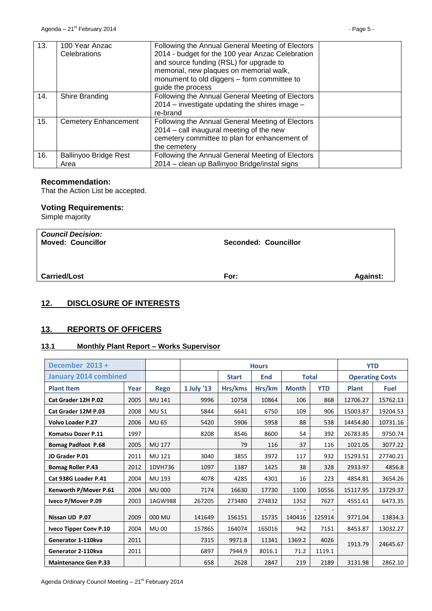| 13. | 100 Year Anzac<br>Celebrations       | Following the Annual General Meeting of Electors<br>2014 - budget for the 100 year Anzac Celebration<br>and source funding (RSL) for upgrade to<br>memorial, new plaques on memorial walk,<br>monument to old diggers - form committee to<br>guide the process |  |
|-----|--------------------------------------|----------------------------------------------------------------------------------------------------------------------------------------------------------------------------------------------------------------------------------------------------------------|--|
| 14. | Shire Branding                       | Following the Annual General Meeting of Electors<br>2014 – investigate updating the shires image –<br>re-brand                                                                                                                                                 |  |
| 15. | Cemetery Enhancement                 | Following the Annual General Meeting of Electors<br>2014 – call inaugural meeting of the new<br>cemetery committee to plan for enhancement of<br>the cemetery                                                                                                  |  |
| 16. | <b>Ballinyoo Bridge Rest</b><br>Area | Following the Annual General Meeting of Electors<br>2014 – clean up Ballinyoo Bridge/instal signs                                                                                                                                                              |  |

## **Recommendation:**

That the Action List be accepted.

# **Voting Requirements:**

Simple majority

| <b>Council Decision:</b><br><b>Moved: Councillor</b> | <b>Seconded: Councillor</b> |                 |
|------------------------------------------------------|-----------------------------|-----------------|
| <b>Carried/Lost</b>                                  | For:                        | <b>Against:</b> |

# <span id="page-4-0"></span>**12. DISCLOSURE OF INTERESTS**

# <span id="page-4-1"></span>**13. REPORTS OF OFFICERS**

# <span id="page-4-2"></span>**13.1 Monthly Plant Report – Works Supervisor**

| December 2013 +              |      |               | <b>Hours</b>                        |         |        |              |                        | <b>YTD</b>   |             |
|------------------------------|------|---------------|-------------------------------------|---------|--------|--------------|------------------------|--------------|-------------|
| <b>January 2014 combined</b> |      |               | <b>Total</b><br><b>Start</b><br>End |         |        |              | <b>Operating Costs</b> |              |             |
| <b>Plant Item</b>            | Year | <b>Rego</b>   | 1 July '13                          | Hrs/kms | Hrs/km | <b>Month</b> | <b>YTD</b>             | <b>Plant</b> | <b>Fuel</b> |
| Cat Grader 12H P.02          | 2005 | <b>MU 141</b> | 9996                                | 10758   | 10864  | 106          | 868                    | 12706.27     | 15762.13    |
| Cat Grader 12M P.03          | 2008 | <b>MU 51</b>  | 5844                                | 6641    | 6750   | 109          | 906                    | 15003.87     | 19204.53    |
| <b>Volvo Loader P.27</b>     | 2006 | <b>MU 65</b>  | 5420                                | 5906    | 5958   | 88           | 538                    | 14454.80     | 10731.16    |
| <b>Komatsu Dozer P.11</b>    | 1997 |               | 8208                                | 8546    | 8600   | 54           | 392                    | 26783.85     | 9750.74     |
| <b>Bomag Padfoot P.68</b>    | 2005 | MU 177        |                                     | 79      | 116    | 37           | 116                    | 1021.05      | 3077.22     |
| JD Grader P.01               | 2011 | MU 121        | 3040                                | 3855    | 3972   | 117          | 932                    | 15293.51     | 27740.21    |
| <b>Bomag Roller P.43</b>     | 2012 | 1DVH736       | 1097                                | 1387    | 1425   | 38           | 328                    | 2933.97      | 4856.8      |
| Cat 938G Loader P.41         | 2004 | MU 193        | 4078                                | 4285    | 4301   | 16           | 223                    | 4854.81      | 3654.26     |
| Kenworth P/Mover P.61        | 2004 | <b>MU 000</b> | 7174                                | 16630   | 17730  | 1100         | 10556                  | 15117.95     | 13729.37    |
| Iveco P/Mover P.09           | 2003 | 1AGW988       | 267205                              | 273480  | 274832 | 1352         | 7627                   | 4551.61      | 6473.35     |
| Nissan UD P.07               | 2009 | 000 MU        | 141649                              | 156151  | 15735  | 140416       | 125914                 | 9771.04      | 13834.3     |
| Iveco Tipper Conv P.10       | 2004 | <b>MU00</b>   | 157865                              | 164074  | 165016 | 942          | 7151                   | 8453.87      | 13032.27    |
| Generator 1-110kva           | 2011 |               | 7315                                | 9971.8  | 11341  | 1369.2       | 4026                   | 1913.79      | 24645.67    |
| Generator 2-110kva           | 2011 |               | 6897                                | 7944.9  | 8016.1 | 71.2         | 1119.1                 |              |             |
| <b>Maintenance Gen P.33</b>  |      |               | 658                                 | 2628    | 2847   | 219          | 2189                   | 3131.98      | 2862.10     |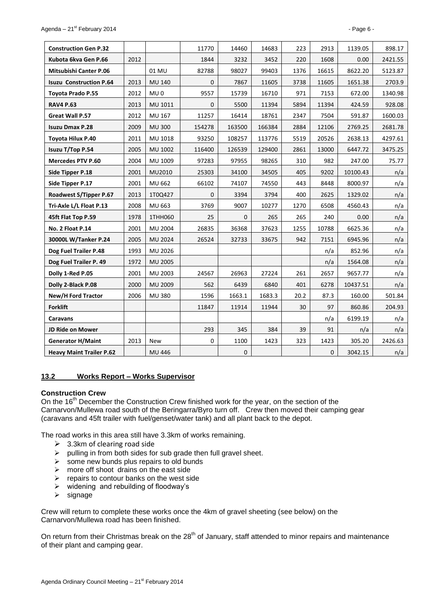| <b>Construction Gen P.32</b>    |      |                 | 11770        | 14460        | 14683  | 223  | 2913        | 1139.05  | 898.17  |
|---------------------------------|------|-----------------|--------------|--------------|--------|------|-------------|----------|---------|
| Kubota 6kva Gen P.66            | 2012 |                 | 1844         | 3232         | 3452   | 220  | 1608        | 0.00     | 2421.55 |
| <b>Mitsubishi Canter P.06</b>   |      | 01 MU           | 82788        | 98027        | 99403  | 1376 | 16615       | 8622.20  | 5123.87 |
| <b>Isuzu Construction P.64</b>  | 2013 | <b>MU 140</b>   | $\mathbf{0}$ | 7867         | 11605  | 3738 | 11605       | 1651.38  | 2703.9  |
| Toyota Prado P.55               | 2012 | MU <sub>0</sub> | 9557         | 15739        | 16710  | 971  | 7153        | 672.00   | 1340.98 |
| <b>RAV4 P.63</b>                | 2013 | MU 1011         | $\Omega$     | 5500         | 11394  | 5894 | 11394       | 424.59   | 928.08  |
| Great Wall P.57                 | 2012 | MU 167          | 11257        | 16414        | 18761  | 2347 | 7504        | 591.87   | 1600.03 |
| <b>Isuzu Dmax P.28</b>          | 2009 | <b>MU 300</b>   | 154278       | 163500       | 166384 | 2884 | 12106       | 2769.25  | 2681.78 |
| Toyota Hilux P.40               | 2011 | MU 1018         | 93250        | 108257       | 113776 | 5519 | 20526       | 2638.13  | 4297.61 |
| Isuzu T/Top P.54                | 2005 | MU 1002         | 116400       | 126539       | 129400 | 2861 | 13000       | 6447.72  | 3475.25 |
| <b>Mercedes PTV P.60</b>        | 2004 | MU 1009         | 97283        | 97955        | 98265  | 310  | 982         | 247.00   | 75.77   |
| Side Tipper P.18                | 2001 | MU2010          | 25303        | 34100        | 34505  | 405  | 9202        | 10100.43 | n/a     |
| Side Tipper P.17                | 2001 | MU 662          | 66102        | 74107        | 74550  | 443  | 8448        | 8000.97  | n/a     |
| Roadwest S/Tipper P.67          | 2013 | 1T0Q427         | $\mathbf 0$  | 3394         | 3794   | 400  | 2625        | 1329.02  | n/a     |
| Tri-Axle L/L Float P.13         | 2008 | MU 663          | 3769         | 9007         | 10277  | 1270 | 6508        | 4560.43  | n/a     |
| 45ft Flat Top P.59              | 1978 | 1THH060         | 25           | $\mathbf{0}$ | 265    | 265  | 240         | 0.00     | n/a     |
| No. 2 Float P.14                | 2001 | <b>MU 2004</b>  | 26835        | 36368        | 37623  | 1255 | 10788       | 6625.36  | n/a     |
| 30000L W/Tanker P.24            | 2005 | <b>MU 2024</b>  | 26524        | 32733        | 33675  | 942  | 7151        | 6945.96  | n/a     |
| Dog Fuel Trailer P.48           | 1993 | MU 2026         |              |              |        |      | n/a         | 852.96   | n/a     |
| Dog Fuel Trailer P. 49          | 1972 | <b>MU 2005</b>  |              |              |        |      | n/a         | 1564.08  | n/a     |
| Dolly 1-Red P.05                | 2001 | MU 2003         | 24567        | 26963        | 27224  | 261  | 2657        | 9657.77  | n/a     |
| Dolly 2-Black P.08              | 2000 | MU 2009         | 562          | 6439         | 6840   | 401  | 6278        | 10437.51 | n/a     |
| New/H Ford Tractor              | 2006 | <b>MU380</b>    | 1596         | 1663.1       | 1683.3 | 20.2 | 87.3        | 160.00   | 501.84  |
| <b>Forklift</b>                 |      |                 | 11847        | 11914        | 11944  | 30   | 97          | 860.86   | 204.93  |
| <b>Caravans</b>                 |      |                 |              |              |        |      | n/a         | 6199.19  | n/a     |
| JD Ride on Mower                |      |                 | 293          | 345          | 384    | 39   | 91          | n/a      | n/a     |
| <b>Generator H/Maint</b>        | 2013 | New             | $\mathbf 0$  | 1100         | 1423   | 323  | 1423        | 305.20   | 2426.63 |
| <b>Heavy Maint Trailer P.62</b> |      | MU 446          |              | $\pmb{0}$    |        |      | $\mathbf 0$ | 3042.15  | n/a     |

#### <span id="page-5-0"></span>**13.2 Works Report – Works Supervisor**

#### **Construction Crew**

On the 16<sup>th</sup> December the Construction Crew finished work for the year, on the section of the Carnarvon/Mullewa road south of the Beringarra/Byro turn off. Crew then moved their camping gear (caravans and 45ft trailer with fuel/genset/water tank) and all plant back to the depot.

The road works in this area still have 3.3km of works remaining.

- $\geq$  3.3km of clearing road side
- $\triangleright$  pulling in from both sides for sub grade then full gravel sheet.
- $\triangleright$  some new bunds plus repairs to old bunds
- $\triangleright$  more off shoot drains on the east side
- $\triangleright$  repairs to contour banks on the west side
- $\triangleright$  widening and rebuilding of floodway's
- $\triangleright$  signage

Crew will return to complete these works once the 4km of gravel sheeting (see below) on the Carnarvon/Mullewa road has been finished.

On return from their Christmas break on the 28<sup>th</sup> of January, staff attended to minor repairs and maintenance of their plant and camping gear.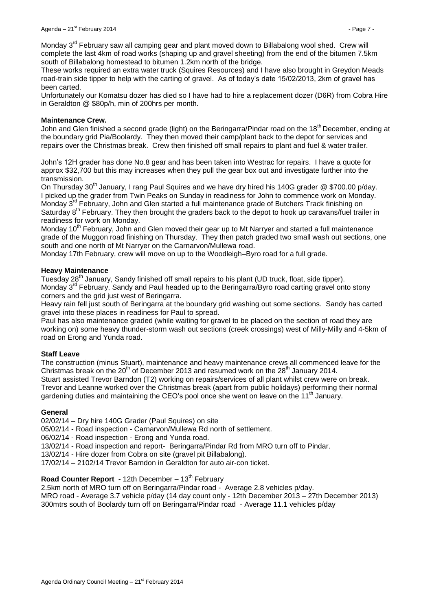Monday 3<sup>rd</sup> February saw all camping gear and plant moved down to Billabalong wool shed. Crew will complete the last 4km of road works (shaping up and gravel sheeting) from the end of the bitumen 7.5km south of Billabalong homestead to bitumen 1.2km north of the bridge.

These works required an extra water truck (Squires Resources) and I have also brought in Greydon Meads road-train side tipper to help with the carting of gravel. As of today's date 15/02/2013, 2km of gravel has been carted.

Unfortunately our Komatsu dozer has died so I have had to hire a replacement dozer (D6R) from Cobra Hire in Geraldton @ \$80p/h, min of 200hrs per month.

#### **Maintenance Crew.**

John and Glen finished a second grade (light) on the Beringarra/Pindar road on the 18<sup>th</sup> December, ending at the boundary grid Pia/Boolardy. They then moved their camp/plant back to the depot for services and repairs over the Christmas break. Crew then finished off small repairs to plant and fuel & water trailer.

John's 12H grader has done No.8 gear and has been taken into Westrac for repairs. I have a quote for approx \$32,700 but this may increases when they pull the gear box out and investigate further into the transmission.

On Thursday 30<sup>th</sup> January, I rang Paul Squires and we have dry hired his 140G grader @ \$700.00 p/day. I picked up the grader from Twin Peaks on Sunday in readiness for John to commence work on Monday. Monday 3<sup>rd</sup> February, John and Glen started a full maintenance grade of Butchers Track finishing on Saturday 8<sup>th</sup> February. They then brought the graders back to the depot to hook up caravans/fuel trailer in readiness for work on Monday.

Monday 10<sup>th</sup> February, John and Glen moved their gear up to Mt Narryer and started a full maintenance grade of the Muggon road finishing on Thursday. They then patch graded two small wash out sections, one south and one north of Mt Narryer on the Carnarvon/Mullewa road.

Monday 17th February, crew will move on up to the Woodleigh–Byro road for a full grade.

#### **Heavy Maintenance**

Tuesday 28<sup>th</sup> January, Sandy finished off small repairs to his plant (UD truck, float, side tipper). Monday 3<sup>rd</sup> February, Sandy and Paul headed up to the Beringarra/Byro road carting gravel onto stony corners and the grid just west of Beringarra.

Heavy rain fell just south of Beringarra at the boundary grid washing out some sections. Sandy has carted gravel into these places in readiness for Paul to spread.

Paul has also maintenance graded (while waiting for gravel to be placed on the section of road they are working on) some heavy thunder-storm wash out sections (creek crossings) west of Milly-Milly and 4-5km of road on Erong and Yunda road.

## **Staff Leave**

The construction (minus Stuart), maintenance and heavy maintenance crews all commenced leave for the Christmas break on the  $20<sup>th</sup>$  of December 2013 and resumed work on the  $28<sup>th</sup>$  January 2014. Stuart assisted Trevor Barndon (T2) working on repairs/services of all plant whilst crew were on break. Trevor and Leanne worked over the Christmas break (apart from public holidays) performing their normal gardening duties and maintaining the CEO's pool once she went on leave on the  $11<sup>th</sup>$  January.

## **General**

02/02/14 – Dry hire 140G Grader (Paul Squires) on site

05/02/14 - Road inspection - Carnarvon/Mullewa Rd north of settlement.

06/02/14 - Road inspection - Erong and Yunda road.

13/02/14 - Road inspection and report- Beringarra/Pindar Rd from MRO turn off to Pindar.

13/02/14 - Hire dozer from Cobra on site (gravel pit Billabalong).

17/02/14 – 2102/14 Trevor Barndon in Geraldton for auto air-con ticket.

# **Road Counter Report - 12th December – 13<sup>th</sup> February**

2.5km north of MRO turn off on Beringarra/Pindar road - Average 2.8 vehicles p/day. MRO road - Average 3.7 vehicle p/day (14 day count only - 12th December 2013 – 27th December 2013) 300mtrs south of Boolardy turn off on Beringarra/Pindar road - Average 11.1 vehicles p/day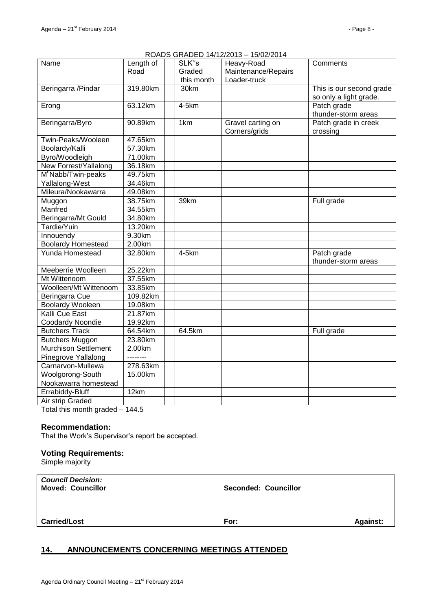# ROADS GRADED 14/12/2013 – 15/02/2014

| Name                              | Length of | SLK"s      | 1979272011<br>Heavy-Road | Comments                 |
|-----------------------------------|-----------|------------|--------------------------|--------------------------|
|                                   | Road      | Graded     | Maintenance/Repairs      |                          |
|                                   |           | this month | Loader-truck             |                          |
| Beringarra / Pindar               | 319.80km  | 30km       |                          | This is our second grade |
|                                   |           |            |                          | so only a light grade.   |
| Erong                             | 63.12km   | 4-5km      |                          | Patch grade              |
|                                   |           |            |                          | thunder-storm areas      |
| Beringarra/Byro                   | 90.89km   | 1km        | Gravel carting on        | Patch grade in creek     |
|                                   |           |            | Corners/grids            | crossing                 |
| Twin-Peaks/Wooleen                | 47.65km   |            |                          |                          |
| Boolardy/Kalli                    | 57.30km   |            |                          |                          |
| Byro/Woodleigh                    | 71.00km   |            |                          |                          |
| New Forrest/Yallalong             | 36.18km   |            |                          |                          |
| M <sup>c</sup> Nabb/Twin-peaks    | 49.75km   |            |                          |                          |
| Yallalong-West                    | 34.46km   |            |                          |                          |
| Mileura/Nookawarra                | 49.08km   |            |                          |                          |
| Muggon                            | 38.75km   | 39km       |                          | Full grade               |
| Manfred                           | 34.55km   |            |                          |                          |
| Beringarra/Mt Gould               | 34.80km   |            |                          |                          |
| Tardie/Yuin                       | 13.20km   |            |                          |                          |
| Innouendy                         | 9.30km    |            |                          |                          |
| <b>Boolardy Homestead</b>         | 2.00km    |            |                          |                          |
| <b>Yunda Homestead</b>            | 32.80km   | 4-5km      |                          | Patch grade              |
|                                   |           |            |                          | thunder-storm areas      |
| Meeberrie Woolleen                | 25.22km   |            |                          |                          |
| Mt Wittenoom                      | 37.55km   |            |                          |                          |
| Woolleen/Mt Wittenoom             | 33.85km   |            |                          |                          |
| Beringarra Cue                    | 109.82km  |            |                          |                          |
| <b>Boolardy Wooleen</b>           | 19.08km   |            |                          |                          |
| Kalli Cue East                    | 21.87km   |            |                          |                          |
| <b>Coodardy Noondie</b>           | 19.92km   |            |                          |                          |
| <b>Butchers Track</b>             | 64.54km   | 64.5km     |                          | Full grade               |
| <b>Butchers Muggon</b>            | 23.80km   |            |                          |                          |
| <b>Murchison Settlement</b>       | 2.00km    |            |                          |                          |
| Pinegrove Yallalong               | --------  |            |                          |                          |
| Carnarvon-Mullewa                 | 278.63km  |            |                          |                          |
| Woolgorong-South                  | 15.00km   |            |                          |                          |
| Nookawarra homestead              |           |            |                          |                          |
| Errabiddy-Bluff                   | 12km      |            |                          |                          |
| Air strip Graded                  |           |            |                          |                          |
| $T$ otol thio month arodod $AABE$ |           |            |                          |                          |

Total this month graded – 144.5

#### **Recommendation:**

That the Work's Supervisor's report be accepted.

## **Voting Requirements:**

Simple majority

| <b>Council Decision:</b><br><b>Moved: Councillor</b> | Seconded: Councillor |                 |
|------------------------------------------------------|----------------------|-----------------|
| <b>Carried/Lost</b>                                  | For:                 | <b>Against:</b> |

# <span id="page-7-0"></span>**14. ANNOUNCEMENTS CONCERNING MEETINGS ATTENDED**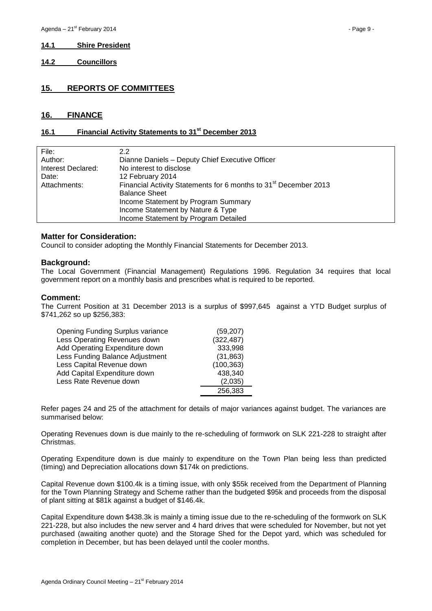#### <span id="page-8-0"></span>**14.1 Shire President**

<span id="page-8-1"></span>**14.2 Councillors**

## <span id="page-8-2"></span>**15. REPORTS OF COMMITTEES**

#### <span id="page-8-3"></span>**16. FINANCE**

## <span id="page-8-4"></span>**16.1 Financial Activity Statements to 31st December 2013**

| 2.2                                                                          |
|------------------------------------------------------------------------------|
| Dianne Daniels - Deputy Chief Executive Officer                              |
| No interest to disclose                                                      |
| 12 February 2014                                                             |
| Financial Activity Statements for 6 months to 31 <sup>st</sup> December 2013 |
| <b>Balance Sheet</b>                                                         |
| Income Statement by Program Summary                                          |
| Income Statement by Nature & Type                                            |
| Income Statement by Program Detailed                                         |
|                                                                              |

#### **Matter for Consideration:**

Council to consider adopting the Monthly Financial Statements for December 2013.

#### **Background:**

The Local Government (Financial Management) Regulations 1996. Regulation 34 requires that local government report on a monthly basis and prescribes what is required to be reported.

#### **Comment:**

The Current Position at 31 December 2013 is a surplus of \$997,645 against a YTD Budget surplus of \$741,262 so up \$256,383:

| <b>Opening Funding Surplus variance</b> | (59, 207)  |
|-----------------------------------------|------------|
| Less Operating Revenues down            | (322, 487) |
| Add Operating Expenditure down          | 333,998    |
| Less Funding Balance Adjustment         | (31, 863)  |
| Less Capital Revenue down               | (100, 363) |
| Add Capital Expenditure down            | 438,340    |
| Less Rate Revenue down                  | (2,035)    |
|                                         | 256,383    |

Refer pages 24 and 25 of the attachment for details of major variances against budget. The variances are summarised below:

Operating Revenues down is due mainly to the re-scheduling of formwork on SLK 221-228 to straight after Christmas.

Operating Expenditure down is due mainly to expenditure on the Town Plan being less than predicted (timing) and Depreciation allocations down \$174k on predictions.

Capital Revenue down \$100.4k is a timing issue, with only \$55k received from the Department of Planning for the Town Planning Strategy and Scheme rather than the budgeted \$95k and proceeds from the disposal of plant sitting at \$81k against a budget of \$146.4k.

Capital Expenditure down \$438.3k is mainly a timing issue due to the re-scheduling of the formwork on SLK 221-228, but also includes the new server and 4 hard drives that were scheduled for November, but not yet purchased (awaiting another quote) and the Storage Shed for the Depot yard, which was scheduled for completion in December, but has been delayed until the cooler months.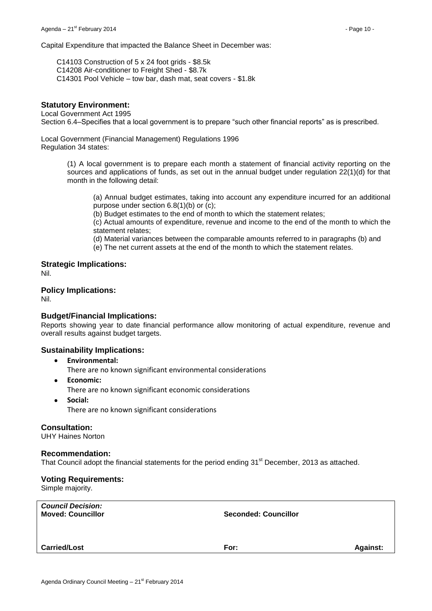Capital Expenditure that impacted the Balance Sheet in December was:

C14103 Construction of 5 x 24 foot grids - \$8.5k C14208 Air-conditioner to Freight Shed - \$8.7k C14301 Pool Vehicle – tow bar, dash mat, seat covers - \$1.8k

## **Statutory Environment:**

Local Government Act 1995 Section 6.4–Specifies that a local government is to prepare "such other financial reports" as is prescribed.

Local Government (Financial Management) Regulations 1996 Regulation 34 states:

> (1) A local government is to prepare each month a statement of financial activity reporting on the sources and applications of funds, as set out in the annual budget under regulation 22(1)(d) for that month in the following detail:

(a) Annual budget estimates, taking into account any expenditure incurred for an additional purpose under section 6.8(1)(b) or (c);

(b) Budget estimates to the end of month to which the statement relates;

(c) Actual amounts of expenditure, revenue and income to the end of the month to which the statement relates;

(d) Material variances between the comparable amounts referred to in paragraphs (b) and

(e) The net current assets at the end of the month to which the statement relates.

**Strategic Implications:**

Nil.

## **Policy Implications:**

Nil.

#### **Budget/Financial Implications:**

Reports showing year to date financial performance allow monitoring of actual expenditure, revenue and overall results against budget targets.

## **Sustainability Implications:**

**Environmental:**

There are no known significant environmental considerations

- $\bullet$ **Economic:** There are no known significant economic considerations
- **Social:**  $\bullet$ There are no known significant considerations

#### **Consultation:**

UHY Haines Norton

#### **Recommendation:**

That Council adopt the financial statements for the period ending 31<sup>st</sup> December, 2013 as attached.

#### **Voting Requirements:**

Simple majority.

| <b>Carried/Lost</b>                                  | For:                        | <b>Against:</b> |
|------------------------------------------------------|-----------------------------|-----------------|
| <b>Council Decision:</b><br><b>Moved: Councillor</b> | <b>Seconded: Councillor</b> |                 |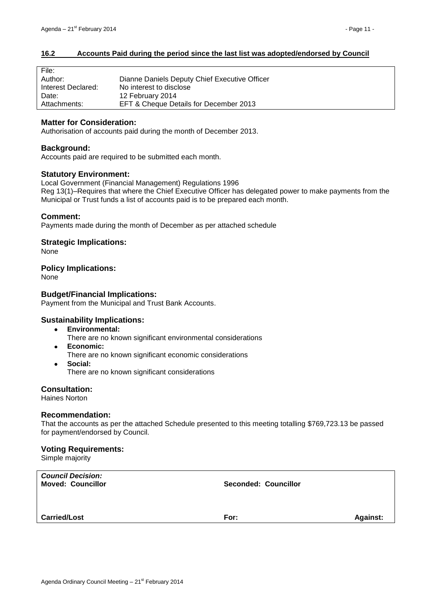## <span id="page-10-0"></span>**16.2 Accounts Paid during the period since the last list was adopted/endorsed by Council**

| File:              |                                               |
|--------------------|-----------------------------------------------|
| Author:            | Dianne Daniels Deputy Chief Executive Officer |
| Interest Declared: | No interest to disclose                       |
| Date:              | 12 February 2014                              |
| Attachments:       | EFT & Cheque Details for December 2013        |

## **Matter for Consideration:**

Authorisation of accounts paid during the month of December 2013.

#### **Background:**

Accounts paid are required to be submitted each month.

#### **Statutory Environment:**

Local Government (Financial Management) Regulations 1996 Reg 13(1)–Requires that where the Chief Executive Officer has delegated power to make payments from the Municipal or Trust funds a list of accounts paid is to be prepared each month.

#### **Comment:**

Payments made during the month of December as per attached schedule

**Strategic Implications:**

None

#### **Policy Implications:**

None

#### **Budget/Financial Implications:**

Payment from the Municipal and Trust Bank Accounts.

## **Sustainability Implications:**

- **Environmental:**  $\bullet$ 
	- There are no known significant environmental considerations
- **Economic:**  $\bullet$ 
	- There are no known significant economic considerations
- **Social:**  $\bullet$ There are no known significant considerations

**Consultation:**

Haines Norton

#### **Recommendation:**

That the accounts as per the attached Schedule presented to this meeting totalling \$769,723.13 be passed for payment/endorsed by Council.

#### **Voting Requirements:**

Simple majority

| <b>Seconded: Councillor</b> |                 |
|-----------------------------|-----------------|
| For:                        | <b>Against:</b> |
|                             |                 |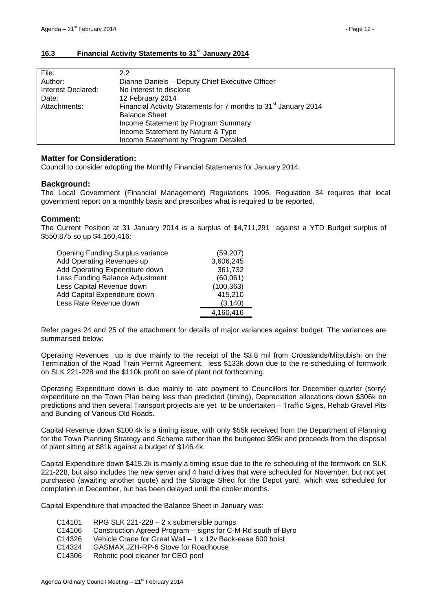# <span id="page-11-0"></span>**16.3 Financial Activity Statements to 31st January 2014**

| 2.2                                                                         |
|-----------------------------------------------------------------------------|
| Dianne Daniels - Deputy Chief Executive Officer                             |
| No interest to disclose                                                     |
| 12 February 2014                                                            |
| Financial Activity Statements for 7 months to 31 <sup>st</sup> January 2014 |
| <b>Balance Sheet</b>                                                        |
| Income Statement by Program Summary                                         |
| Income Statement by Nature & Type                                           |
| Income Statement by Program Detailed                                        |
|                                                                             |

## **Matter for Consideration:**

Council to consider adopting the Monthly Financial Statements for January 2014.

# **Background:**

The Local Government (Financial Management) Regulations 1996. Regulation 34 requires that local government report on a monthly basis and prescribes what is required to be reported.

## **Comment:**

The Current Position at 31 January 2014 is a surplus of \$4,711,291 against a YTD Budget surplus of \$550,875 so up \$4,160,416:

| <b>Opening Funding Surplus variance</b> | (59, 207)  |
|-----------------------------------------|------------|
| Add Operating Revenues up               | 3,606,245  |
| Add Operating Expenditure down          | 361,732    |
| Less Funding Balance Adjustment         | (60,061)   |
| Less Capital Revenue down               | (100, 363) |
| Add Capital Expenditure down            | 415,210    |
| Less Rate Revenue down                  | (3, 140)   |
|                                         | 4,160,416  |

Refer pages 24 and 25 of the attachment for details of major variances against budget. The variances are summarised below:

Operating Revenues up is due mainly to the receipt of the \$3.8 mil from Crosslands/Mitsubishi on the Termination of the Road Train Permit Agreement, less \$133k down due to the re-scheduling of formwork on SLK 221-228 and the \$110k profit on sale of plant not forthcoming.

Operating Expenditure down is due mainly to late payment to Councillors for December quarter (sorry) expenditure on the Town Plan being less than predicted (timing), Depreciation allocations down \$306k on predictions and then several Transport projects are yet to be undertaken – Traffic Signs, Rehab Gravel Pits and Bunding of Various Old Roads.

Capital Revenue down \$100.4k is a timing issue, with only \$55k received from the Department of Planning for the Town Planning Strategy and Scheme rather than the budgeted \$95k and proceeds from the disposal of plant sitting at \$81k against a budget of \$146.4k.

Capital Expenditure down \$415.2k is mainly a timing issue due to the re-scheduling of the formwork on SLK 221-228, but also includes the new server and 4 hard drives that were scheduled for November, but not yet purchased (awaiting another quote) and the Storage Shed for the Depot yard, which was scheduled for completion in December, but has been delayed until the cooler months.

Capital Expenditure that impacted the Balance Sheet in January was:

- C14101 RPG SLK 221-228 2 x submersible pumps
- C14106 Construction Agreed Program signs for C-M Rd south of Byro
- C14326 Vehicle Crane for Great Wall 1 x 12v Back-ease 600 hoist
- C14324 GASMAX JZH-RP-6 Stove for Roadhouse
- C14306 Robotic pool cleaner for CEO pool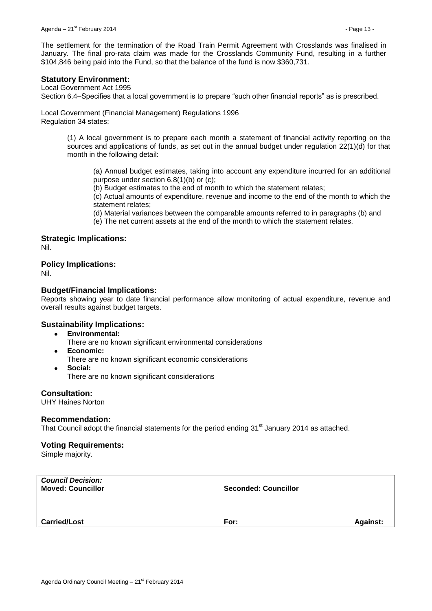The settlement for the termination of the Road Train Permit Agreement with Crosslands was finalised in January. The final pro-rata claim was made for the Crosslands Community Fund, resulting in a further \$104,846 being paid into the Fund, so that the balance of the fund is now \$360,731.

# **Statutory Environment:**

Local Government Act 1995

Section 6.4–Specifies that a local government is to prepare "such other financial reports" as is prescribed.

Local Government (Financial Management) Regulations 1996 Regulation 34 states:

> (1) A local government is to prepare each month a statement of financial activity reporting on the sources and applications of funds, as set out in the annual budget under regulation 22(1)(d) for that month in the following detail:

(a) Annual budget estimates, taking into account any expenditure incurred for an additional purpose under section 6.8(1)(b) or (c);

(b) Budget estimates to the end of month to which the statement relates;

(c) Actual amounts of expenditure, revenue and income to the end of the month to which the statement relates;

(d) Material variances between the comparable amounts referred to in paragraphs (b) and (e) The net current assets at the end of the month to which the statement relates.

# **Strategic Implications:**

Nil.

# **Policy Implications:**

Nil.

# **Budget/Financial Implications:**

Reports showing year to date financial performance allow monitoring of actual expenditure, revenue and overall results against budget targets.

## **Sustainability Implications:**

- **Environmental:**
	- There are no known significant environmental considerations
- **Economic:**  $\bullet$ 
	- There are no known significant economic considerations
- **Social:**  $\bullet$ There are no known significant considerations

## **Consultation:**

UHY Haines Norton

## **Recommendation:**

That Council adopt the financial statements for the period ending 31<sup>st</sup> January 2014 as attached.

## **Voting Requirements:**

Simple majority.

| <b>Council Decision:</b><br><b>Moved: Councillor</b> | <b>Seconded: Councillor</b> |                 |
|------------------------------------------------------|-----------------------------|-----------------|
| <b>Carried/Lost</b>                                  | For:                        | <b>Against:</b> |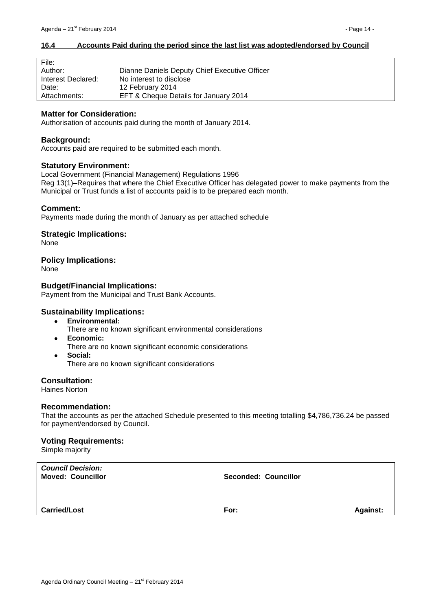## <span id="page-13-0"></span>**16.4 Accounts Paid during the period since the last list was adopted/endorsed by Council**

| File:              |                                               |
|--------------------|-----------------------------------------------|
| Author:            | Dianne Daniels Deputy Chief Executive Officer |
| Interest Declared: | No interest to disclose                       |
| Date:              | 12 February 2014                              |
| Attachments:       | EFT & Cheque Details for January 2014         |

#### **Matter for Consideration:**

Authorisation of accounts paid during the month of January 2014.

## **Background:**

 $\equiv$ 

Accounts paid are required to be submitted each month.

#### **Statutory Environment:**

Local Government (Financial Management) Regulations 1996 Reg 13(1)–Requires that where the Chief Executive Officer has delegated power to make payments from the Municipal or Trust funds a list of accounts paid is to be prepared each month.

#### **Comment:**

Payments made during the month of January as per attached schedule

#### **Strategic Implications:**

None

#### **Policy Implications:**

None

## **Budget/Financial Implications:**

Payment from the Municipal and Trust Bank Accounts.

## **Sustainability Implications:**

- $\bullet$ **Environmental:**
	- There are no known significant environmental considerations
- **Economic:**  $\bullet$ 
	- There are no known significant economic considerations
	- **Social:** There are no known significant considerations

# **Consultation:**

Haines Norton

 $\bullet$ 

#### **Recommendation:**

That the accounts as per the attached Schedule presented to this meeting totalling \$4,786,736.24 be passed for payment/endorsed by Council.

#### **Voting Requirements:**

Simple majority

| <b>Council Decision:</b><br><b>Moved: Councillor</b> | <b>Seconded: Councillor</b> |                 |
|------------------------------------------------------|-----------------------------|-----------------|
| <b>Carried/Lost</b>                                  | For:                        | <b>Against:</b> |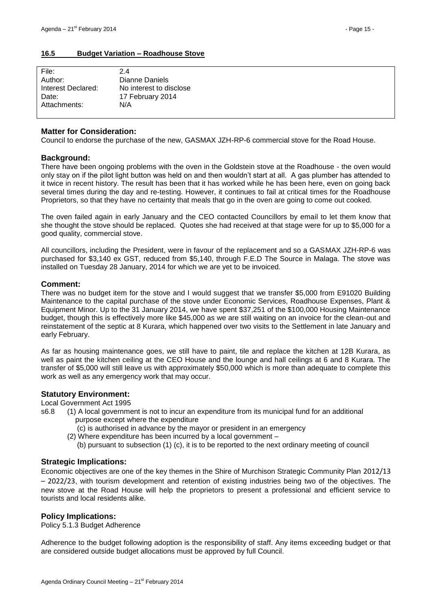## <span id="page-14-0"></span>**16.5 Budget Variation – Roadhouse Stove**

| File:              | 24                      |
|--------------------|-------------------------|
| Author:            | Dianne Daniels          |
| Interest Declared: | No interest to disclose |
| Date:              | 17 February 2014        |
| Attachments:       | N/A                     |
|                    |                         |

## **Matter for Consideration:**

Council to endorse the purchase of the new, GASMAX JZH-RP-6 commercial stove for the Road House.

## **Background:**

There have been ongoing problems with the oven in the Goldstein stove at the Roadhouse - the oven would only stay on if the pilot light button was held on and then wouldn't start at all. A gas plumber has attended to it twice in recent history. The result has been that it has worked while he has been here, even on going back several times during the day and re-testing. However, it continues to fail at critical times for the Roadhouse Proprietors, so that they have no certainty that meals that go in the oven are going to come out cooked.

The oven failed again in early January and the CEO contacted Councillors by email to let them know that she thought the stove should be replaced. Quotes she had received at that stage were for up to \$5,000 for a good quality, commercial stove.

All councillors, including the President, were in favour of the replacement and so a GASMAX JZH-RP-6 was purchased for \$3,140 ex GST, reduced from \$5,140, through F.E.D The Source in Malaga. The stove was installed on Tuesday 28 January, 2014 for which we are yet to be invoiced.

#### **Comment:**

There was no budget item for the stove and I would suggest that we transfer \$5,000 from E91020 Building Maintenance to the capital purchase of the stove under Economic Services, Roadhouse Expenses, Plant & Equipment Minor. Up to the 31 January 2014, we have spent \$37,251 of the \$100,000 Housing Maintenance budget, though this is effectively more like \$45,000 as we are still waiting on an invoice for the clean-out and reinstatement of the septic at 8 Kurara, which happened over two visits to the Settlement in late January and early February.

As far as housing maintenance goes, we still have to paint, tile and replace the kitchen at 12B Kurara, as well as paint the kitchen ceiling at the CEO House and the lounge and hall ceilings at 6 and 8 Kurara. The transfer of \$5,000 will still leave us with approximately \$50,000 which is more than adequate to complete this work as well as any emergency work that may occur.

## **Statutory Environment:**

Local Government Act 1995

- s6.8 (1) A local government is not to incur an expenditure from its municipal fund for an additional purpose except where the expenditure
	- (c) is authorised in advance by the mayor or president in an emergency
	- (2) Where expenditure has been incurred by a local government
		- (b) pursuant to subsection (1) (c), it is to be reported to the next ordinary meeting of council

## **Strategic Implications:**

Economic objectives are one of the key themes in the Shire of Murchison Strategic Community Plan 2012/13 – 2022/23, with tourism development and retention of existing industries being two of the objectives. The new stove at the Road House will help the proprietors to present a professional and efficient service to tourists and local residents alike.

## **Policy Implications:**

Policy 5.1.3 Budget Adherence

Adherence to the budget following adoption is the responsibility of staff. Any items exceeding budget or that are considered outside budget allocations must be approved by full Council.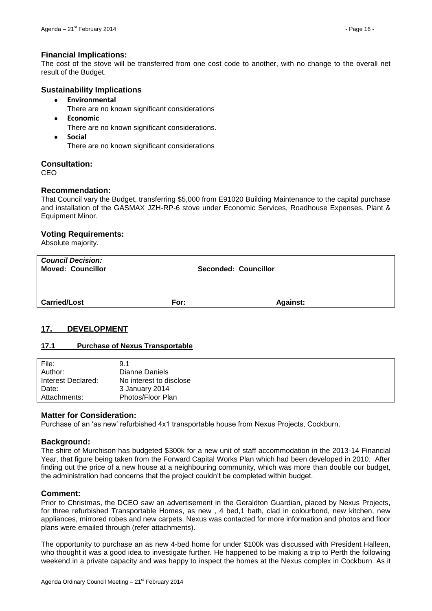# **Financial Implications:**

The cost of the stove will be transferred from one cost code to another, with no change to the overall net result of the Budget.

## **Sustainability Implications**

- $\bullet$ **Environmental**
	- There are no known significant considerations
- $\bullet$ **Economic**
	- There are no known significant considerations.
- **Social**  $\bullet$

There are no known significant considerations

# **Consultation:**

CEO

# **Recommendation:**

That Council vary the Budget, transferring \$5,000 from E91020 Building Maintenance to the capital purchase and installation of the GASMAX JZH-RP-6 stove under Economic Services, Roadhouse Expenses, Plant & Equipment Minor.

## **Voting Requirements:**

Absolute majority.

| <b>Council Decision:</b><br><b>Moved: Councillor</b> | <b>Seconded: Councillor</b> |                 |  |
|------------------------------------------------------|-----------------------------|-----------------|--|
| <b>Carried/Lost</b>                                  | For:                        | <b>Against:</b> |  |

# <span id="page-15-0"></span>**17. DEVELOPMENT**

## <span id="page-15-1"></span>**17.1 Purchase of Nexus Transportable**

| File:              | 9.1                     |
|--------------------|-------------------------|
| Author:            | Dianne Daniels          |
| Interest Declared: | No interest to disclose |
| Date:              | 3 January 2014          |
| Attachments:       | Photos/Floor Plan       |

## **Matter for Consideration:**

Purchase of an 'as new' refurbished 4x1 transportable house from Nexus Projects, Cockburn.

## **Background:**

The shire of Murchison has budgeted \$300k for a new unit of staff accommodation in the 2013-14 Financial Year, that figure being taken from the Forward Capital Works Plan which had been developed in 2010. After finding out the price of a new house at a neighbouring community, which was more than double our budget, the administration had concerns that the project couldn't be completed within budget.

## **Comment:**

Prior to Christmas, the DCEO saw an advertisement in the Geraldton Guardian, placed by Nexus Projects, for three refurbished Transportable Homes, as new , 4 bed,1 bath, clad in colourbond, new kitchen, new appliances, mirrored robes and new carpets. Nexus was contacted for more information and photos and floor plans were emailed through (refer attachments).

The opportunity to purchase an as new 4-bed home for under \$100k was discussed with President Halleen, who thought it was a good idea to investigate further. He happened to be making a trip to Perth the following weekend in a private capacity and was happy to inspect the homes at the Nexus complex in Cockburn. As it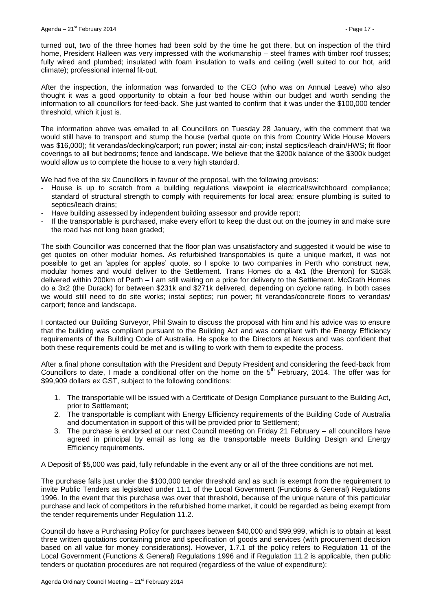turned out, two of the three homes had been sold by the time he got there, but on inspection of the third home, President Halleen was very impressed with the workmanship – steel frames with timber roof trusses; fully wired and plumbed; insulated with foam insulation to walls and ceiling (well suited to our hot, arid climate); professional internal fit-out.

After the inspection, the information was forwarded to the CEO (who was on Annual Leave) who also thought it was a good opportunity to obtain a four bed house within our budget and worth sending the information to all councillors for feed-back. She just wanted to confirm that it was under the \$100,000 tender threshold, which it just is.

The information above was emailed to all Councillors on Tuesday 28 January, with the comment that we would still have to transport and stump the house (verbal quote on this from Country Wide House Movers was \$16,000); fit verandas/decking/carport; run power; instal air-con; instal septics/leach drain/HWS; fit floor coverings to all but bedrooms; fence and landscape. We believe that the \$200k balance of the \$300k budget would allow us to complete the house to a very high standard.

We had five of the six Councillors in favour of the proposal, with the following provisos:

- House is up to scratch from a building regulations viewpoint ie electrical/switchboard compliance; standard of structural strength to comply with requirements for local area; ensure plumbing is suited to septics/leach drains;
- Have building assessed by independent building assessor and provide report;
- If the transportable is purchased, make every effort to keep the dust out on the journey in and make sure the road has not long been graded;

The sixth Councillor was concerned that the floor plan was unsatisfactory and suggested it would be wise to get quotes on other modular homes. As refurbished transportables is quite a unique market, it was not possible to get an 'apples for apples' quote, so I spoke to two companies in Perth who construct new, modular homes and would deliver to the Settlement. Trans Homes do a 4x1 (the Brenton) for \$163k delivered within 200km of Perth – I am still waiting on a price for delivery to the Settlement. McGrath Homes do a 3x2 (the Durack) for between \$231k and \$271k delivered, depending on cyclone rating. In both cases we would still need to do site works; instal septics; run power; fit verandas/concrete floors to verandas/ carport; fence and landscape.

I contacted our Building Surveyor, Phil Swain to discuss the proposal with him and his advice was to ensure that the building was compliant pursuant to the Building Act and was compliant with the Energy Efficiency requirements of the Building Code of Australia. He spoke to the Directors at Nexus and was confident that both these requirements could be met and is willing to work with them to expedite the process.

After a final phone consultation with the President and Deputy President and considering the feed-back from Councillors to date. I made a conditional offer on the home on the  $5<sup>th</sup>$  February, 2014. The offer was for \$99,909 dollars ex GST, subject to the following conditions:

- 1. The transportable will be issued with a Certificate of Design Compliance pursuant to the Building Act, prior to Settlement;
- 2. The transportable is compliant with Energy Efficiency requirements of the Building Code of Australia and documentation in support of this will be provided prior to Settlement;
- 3. The purchase is endorsed at our next Council meeting on Friday 21 February all councillors have agreed in principal by email as long as the transportable meets Building Design and Energy Efficiency requirements.

A Deposit of \$5,000 was paid, fully refundable in the event any or all of the three conditions are not met.

The purchase falls just under the \$100,000 tender threshold and as such is exempt from the requirement to invite Public Tenders as legislated under 11.1 of the Local Government (Functions & General) Regulations 1996. In the event that this purchase was over that threshold, because of the unique nature of this particular purchase and lack of competitors in the refurbished home market, it could be regarded as being exempt from the tender requirements under Regulation 11.2.

Council do have a Purchasing Policy for purchases between \$40,000 and \$99,999, which is to obtain at least three written quotations containing price and specification of goods and services (with procurement decision based on all value for money considerations). However, 1.7.1 of the policy refers to Regulation 11 of the Local Government (Functions & General) Regulations 1996 and if Regulation 11.2 is applicable, then public tenders or quotation procedures are not required (regardless of the value of expenditure):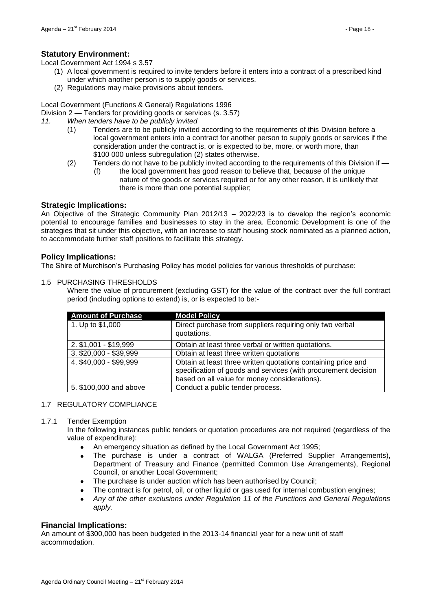Local Government Act 1994 s 3.57

- (1) A local government is required to invite tenders before it enters into a contract of a prescribed kind under which another person is to supply goods or services.
- (2) Regulations may make provisions about tenders.

Local Government (Functions & General) Regulations 1996

- Division 2 Tenders for providing goods or services (s. 3.57)
- *11. When tenders have to be publicly invited*
	- (1) Tenders are to be publicly invited according to the requirements of this Division before a local government enters into a contract for another person to supply goods or services if the consideration under the contract is, or is expected to be, more, or worth more, than \$100 000 unless subregulation (2) states otherwise.
	- (2) Tenders do not have to be publicly invited according to the requirements of this Division if
		- (f) the local government has good reason to believe that, because of the unique nature of the goods or services required or for any other reason, it is unlikely that there is more than one potential supplier;

# **Strategic Implications:**

An Objective of the Strategic Community Plan 2012/13 – 2022/23 is to develop the region's economic potential to encourage families and businesses to stay in the area. Economic Development is one of the strategies that sit under this objective, with an increase to staff housing stock nominated as a planned action, to accommodate further staff positions to facilitate this strategy.

# **Policy Implications:**

The Shire of Murchison's Purchasing Policy has model policies for various thresholds of purchase:

## 1.5 PURCHASING THRESHOLDS

Where the value of procurement (excluding GST) for the value of the contract over the full contract period (including options to extend) is, or is expected to be:-

| <b>Amount of Purchase</b> | <b>Model Policy</b>                                                                                                                                                              |
|---------------------------|----------------------------------------------------------------------------------------------------------------------------------------------------------------------------------|
| 1. Up to \$1,000          | Direct purchase from suppliers requiring only two verbal<br>quotations.                                                                                                          |
| 2. \$1,001 - \$19,999     | Obtain at least three verbal or written quotations.                                                                                                                              |
| 3. \$20,000 - \$39,999    | Obtain at least three written quotations                                                                                                                                         |
| 4. \$40,000 - \$99,999    | Obtain at least three written quotations containing price and<br>specification of goods and services (with procurement decision<br>based on all value for money considerations). |
| 5. \$100,000 and above    | Conduct a public tender process.                                                                                                                                                 |

## 1.7 REGULATORY COMPLIANCE

## 1.7.1 Tender Exemption

In the following instances public tenders or quotation procedures are not required (regardless of the value of expenditure):

- An emergency situation as defined by the Local Government Act 1995;
- The purchase is under a contract of WALGA (Preferred Supplier Arrangements), Department of Treasury and Finance (permitted Common Use Arrangements), Regional Council, or another Local Government;
- The purchase is under auction which has been authorised by Council;
- The contract is for petrol, oil, or other liquid or gas used for internal combustion engines;
- *Any of the other exclusions under Regulation 11 of the Functions and General Regulations apply.*

## **Financial Implications:**

An amount of \$300,000 has been budgeted in the 2013-14 financial year for a new unit of staff accommodation.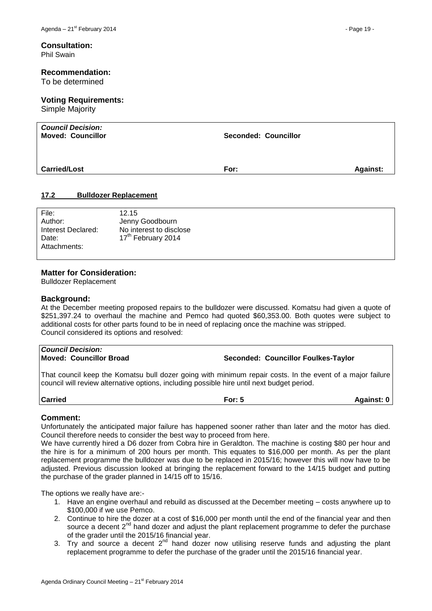#### **Consultation:** Phil Swain

#### **Recommendation:**

To be determined

# **Voting Requirements:**

Simple Majority

| <b>Council Decision:</b><br><b>Moved: Councillor</b> | <b>Seconded: Councillor</b> |                 |
|------------------------------------------------------|-----------------------------|-----------------|
| <b>Carried/Lost</b>                                  | For:                        | <b>Against:</b> |

#### <span id="page-18-0"></span>**17.2 Bulldozer Replacement**

| File:              | 12.15                          |
|--------------------|--------------------------------|
| Author:            | Jenny Goodbourn                |
| Interest Declared: | No interest to disclose        |
| Date:              | 17 <sup>th</sup> February 2014 |
| Attachments:       |                                |
|                    |                                |

#### **Matter for Consideration:**

Bulldozer Replacement

#### **Background:**

At the December meeting proposed repairs to the bulldozer were discussed. Komatsu had given a quote of \$251,397.24 to overhaul the machine and Pemco had quoted \$60,353.00. Both quotes were subject to additional costs for other parts found to be in need of replacing once the machine was stripped. Council considered its options and resolved:

| <b>Council Decision:</b><br><b>Moved: Councillor Broad</b> | Seconded: Councillor Foulkes-Taylor |
|------------------------------------------------------------|-------------------------------------|
|                                                            |                                     |

That council keep the Komatsu bull dozer going with minimum repair costs. In the event of a major failure council will review alternative options, including possible hire until next budget period.

**Carried For: 5 Against: 0**

## **Comment:**

Unfortunately the anticipated major failure has happened sooner rather than later and the motor has died. Council therefore needs to consider the best way to proceed from here.

We have currently hired a D6 dozer from Cobra hire in Geraldton. The machine is costing \$80 per hour and the hire is for a minimum of 200 hours per month. This equates to \$16,000 per month. As per the plant replacement programme the bulldozer was due to be replaced in 2015/16; however this will now have to be adjusted. Previous discussion looked at bringing the replacement forward to the 14/15 budget and putting the purchase of the grader planned in 14/15 off to 15/16.

The options we really have are:-

- 1. Have an engine overhaul and rebuild as discussed at the December meeting costs anywhere up to \$100,000 if we use Pemco.
- 2. Continue to hire the dozer at a cost of \$16,000 per month until the end of the financial year and then source a decent 2<sup>nd</sup> hand dozer and adjust the plant replacement programme to defer the purchase of the grader until the 2015/16 financial year.
- 3. Try and source a decent  $2^{nd}$  hand dozer now utilising reserve funds and adjusting the plant replacement programme to defer the purchase of the grader until the 2015/16 financial year.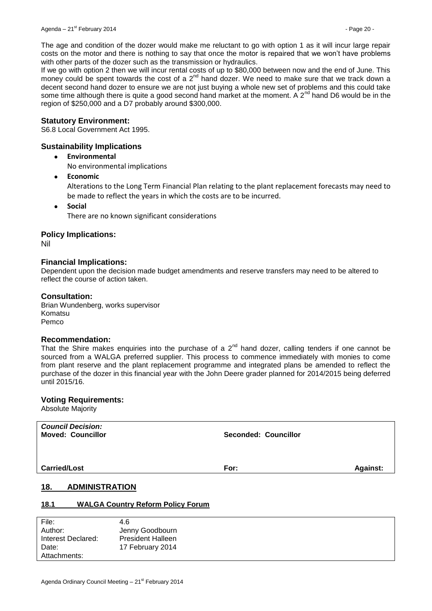The age and condition of the dozer would make me reluctant to go with option 1 as it will incur large repair costs on the motor and there is nothing to say that once the motor is repaired that we won't have problems with other parts of the dozer such as the transmission or hydraulics.

If we go with option 2 then we will incur rental costs of up to \$80,000 between now and the end of June. This money could be spent towards the cost of a  $2^{nd}$  hand dozer. We need to make sure that we track down a decent second hand dozer to ensure we are not just buying a whole new set of problems and this could take some time although there is quite a good second hand market at the moment. A  $2^{nd}$  hand D6 would be in the region of \$250,000 and a D7 probably around \$300,000.

#### **Statutory Environment:**

S6.8 Local Government Act 1995.

## **Sustainability Implications**

 $\bullet$ **Environmental**

No environmental implications

 $\bullet$ **Economic**

> Alterations to the Long Term Financial Plan relating to the plant replacement forecasts may need to be made to reflect the years in which the costs are to be incurred.

**Social** There are no known significant considerations

## **Policy Implications:**

Nil

## **Financial Implications:**

Dependent upon the decision made budget amendments and reserve transfers may need to be altered to reflect the course of action taken.

#### **Consultation:**

Brian Wundenberg, works supervisor Komatsu Pemco

#### **Recommendation:**

That the Shire makes enquiries into the purchase of a  $2^{nd}$  hand dozer, calling tenders if one cannot be sourced from a WALGA preferred supplier. This process to commence immediately with monies to come from plant reserve and the plant replacement programme and integrated plans be amended to reflect the purchase of the dozer in this financial year with the John Deere grader planned for 2014/2015 being deferred until 2015/16.

## **Voting Requirements:**

Absolute Majority

| <b>Council Decision:</b><br><b>Moved: Councillor</b> | Seconded: Councillor    |
|------------------------------------------------------|-------------------------|
| <b>Carried/Lost</b>                                  | <b>Against:</b><br>For: |
| 18.<br><b>ADMINISTRATION</b>                         |                         |

## <span id="page-19-1"></span><span id="page-19-0"></span>**18.1 WALGA Country Reform Policy Forum**

| File:              | 4.6                      |
|--------------------|--------------------------|
| Author:            | Jenny Goodbourn          |
| Interest Declared: | <b>President Halleen</b> |
| Date:              | 17 February 2014         |
| Attachments:       |                          |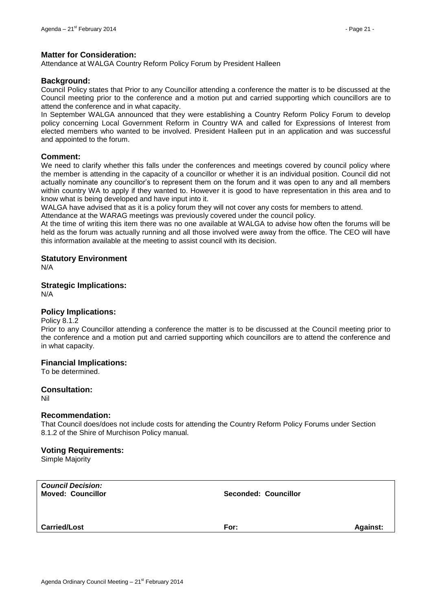## **Matter for Consideration:**

Attendance at WALGA Country Reform Policy Forum by President Halleen

## **Background:**

Council Policy states that Prior to any Councillor attending a conference the matter is to be discussed at the Council meeting prior to the conference and a motion put and carried supporting which councillors are to attend the conference and in what capacity.

In September WALGA announced that they were establishing a Country Reform Policy Forum to develop policy concerning Local Government Reform in Country WA and called for Expressions of Interest from elected members who wanted to be involved. President Halleen put in an application and was successful and appointed to the forum.

#### **Comment:**

We need to clarify whether this falls under the conferences and meetings covered by council policy where the member is attending in the capacity of a councillor or whether it is an individual position. Council did not actually nominate any councillor's to represent them on the forum and it was open to any and all members within country WA to apply if they wanted to. However it is good to have representation in this area and to know what is being developed and have input into it.

WALGA have advised that as it is a policy forum they will not cover any costs for members to attend.

Attendance at the WARAG meetings was previously covered under the council policy.

At the time of writing this item there was no one available at WALGA to advise how often the forums will be held as the forum was actually running and all those involved were away from the office. The CEO will have this information available at the meeting to assist council with its decision.

#### **Statutory Environment**

N/A

# **Strategic Implications:**

N/A

## **Policy Implications:**

Policy 8.1.2

Prior to any Councillor attending a conference the matter is to be discussed at the Council meeting prior to the conference and a motion put and carried supporting which councillors are to attend the conference and in what capacity.

## **Financial Implications:**

To be determined.

## **Consultation:**

Nil

#### **Recommendation:**

That Council does/does not include costs for attending the Country Reform Policy Forums under Section 8.1.2 of the Shire of Murchison Policy manual.

## **Voting Requirements:**

Simple Majority

| <b>Council Decision:</b><br><b>Moved: Councillor</b> | Seconded: Councillor |                 |
|------------------------------------------------------|----------------------|-----------------|
| <b>Carried/Lost</b>                                  | For:                 | <b>Against:</b> |
|                                                      |                      |                 |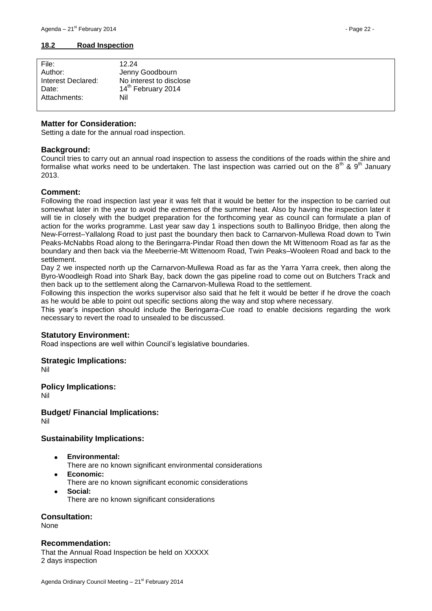#### <span id="page-21-0"></span>**18.2 Road Inspection**

| File:              | 12.24                          |
|--------------------|--------------------------------|
| Author:            | Jenny Goodbourn                |
| Interest Declared: | No interest to disclose        |
| Date:              | 14 <sup>th</sup> February 2014 |
| Attachments:       | Nil                            |
|                    |                                |

## **Matter for Consideration:**

Setting a date for the annual road inspection.

## **Background:**

Council tries to carry out an annual road inspection to assess the conditions of the roads within the shire and formalise what works need to be undertaken. The last inspection was carried out on the  $8^{th}$  &  $9^{th}$  January 2013.

# **Comment:**

Following the road inspection last year it was felt that it would be better for the inspection to be carried out somewhat later in the year to avoid the extremes of the summer heat. Also by having the inspection later it will tie in closely with the budget preparation for the forthcoming year as council can formulate a plan of action for the works programme. Last year saw day 1 inspections south to Ballinyoo Bridge, then along the New-Forrest–Yallalong Road to just past the boundary then back to Carnarvon-Mullewa Road down to Twin Peaks-McNabbs Road along to the Beringarra-Pindar Road then down the Mt Wittenoom Road as far as the boundary and then back via the Meeberrie-Mt Wittenoom Road, Twin Peaks–Wooleen Road and back to the settlement.

Day 2 we inspected north up the Carnarvon-Mullewa Road as far as the Yarra Yarra creek, then along the Byro-Woodleigh Road into Shark Bay, back down the gas pipeline road to come out on Butchers Track and then back up to the settlement along the Carnarvon-Mullewa Road to the settlement.

Following this inspection the works supervisor also said that he felt it would be better if he drove the coach as he would be able to point out specific sections along the way and stop where necessary.

This year's inspection should include the Beringarra-Cue road to enable decisions regarding the work necessary to revert the road to unsealed to be discussed.

## **Statutory Environment:**

Road inspections are well within Council's legislative boundaries.

## **Strategic Implications:**

Nil

# **Policy Implications:**

Nil

**Budget/ Financial Implications:** Nil

# **Sustainability Implications:**

- **Environmental:**
- There are no known significant environmental considerations
- **Economic:**
- There are no known significant economic considerations
- **Social:** There are no known significant considerations

**Consultation:**

None

## **Recommendation:**

That the Annual Road Inspection be held on XXXXX 2 days inspection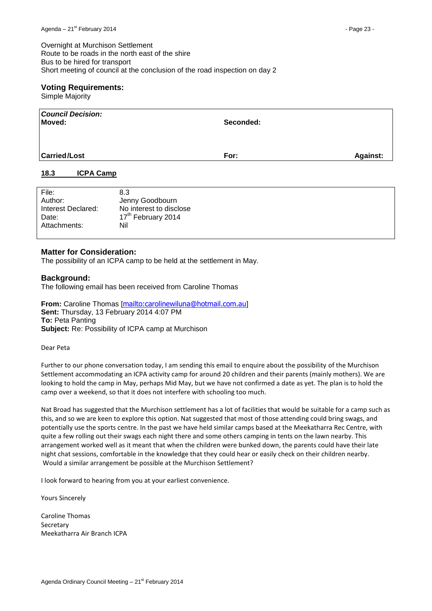Overnight at Murchison Settlement Route to be roads in the north east of the shire Bus to be hired for transport Short meeting of council at the conclusion of the road inspection on day 2

# **Voting Requirements:**

Simple Majority

| <b>Council Decision:</b><br>Moved: | Seconded: |                 |
|------------------------------------|-----------|-----------------|
| <b>Carried/Lost</b>                | For:      | <b>Against:</b> |

# <span id="page-22-0"></span>**18.3 ICPA Camp**

| File:              | 8.3                            |
|--------------------|--------------------------------|
| Author:            | Jenny Goodbourn                |
| Interest Declared: | No interest to disclose        |
| Date:              | 17 <sup>th</sup> February 2014 |
| Attachments:       | Nil                            |
|                    |                                |

# **Matter for Consideration:**

The possibility of an ICPA camp to be held at the settlement in May.

# **Background:**

The following email has been received from Caroline Thomas

**From:** Caroline Thomas [<mailto:carolinewiluna@hotmail.com.au>] **Sent:** Thursday, 13 February 2014 4:07 PM **To:** Peta Panting **Subject:** Re: Possibility of ICPA camp at Murchison

Dear Peta

Further to our phone conversation today, I am sending this email to enquire about the possibility of the Murchison Settlement accommodating an ICPA activity camp for around 20 children and their parents (mainly mothers). We are looking to hold the camp in May, perhaps Mid May, but we have not confirmed a date as yet. The plan is to hold the camp over a weekend, so that it does not interfere with schooling too much.

Nat Broad has suggested that the Murchison settlement has a lot of facilities that would be suitable for a camp such as this, and so we are keen to explore this option. Nat suggested that most of those attending could bring swags, and potentially use the sports centre. In the past we have held similar camps based at the Meekatharra Rec Centre, with quite a few rolling out their swags each night there and some others camping in tents on the lawn nearby. This arrangement worked well as it meant that when the children were bunked down, the parents could have their late night chat sessions, comfortable in the knowledge that they could hear or easily check on their children nearby. Would a similar arrangement be possible at the Murchison Settlement?

I look forward to hearing from you at your earliest convenience.

Yours Sincerely

Caroline Thomas Secretary Meekatharra Air Branch ICPA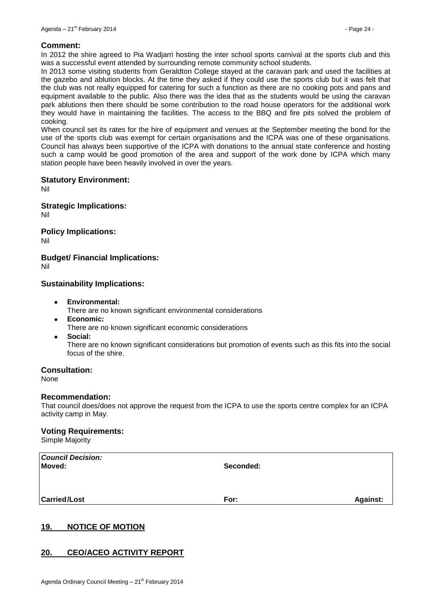#### **Comment:**

In 2012 the shire agreed to Pia Wadjarri hosting the inter school sports carnival at the sports club and this was a successful event attended by surrounding remote community school students.

In 2013 some visiting students from Geraldton College stayed at the caravan park and used the facilities at the gazebo and ablution blocks. At the time they asked if they could use the sports club but it was felt that the club was not really equipped for catering for such a function as there are no cooking pots and pans and equipment available to the public. Also there was the idea that as the students would be using the caravan park ablutions then there should be some contribution to the road house operators for the additional work they would have in maintaining the facilities. The access to the BBQ and fire pits solved the problem of cooking.

When council set its rates for the hire of equipment and venues at the September meeting the bond for the use of the sports club was exempt for certain organisations and the ICPA was one of these organisations. Council has always been supportive of the ICPA with donations to the annual state conference and hosting such a camp would be good promotion of the area and support of the work done by ICPA which many station people have been heavily involved in over the years.

#### **Statutory Environment:**

Nil

**Strategic Implications:** Nil

**Policy Implications:**

Nil

**Budget/ Financial Implications:**

Nil

# **Sustainability Implications:**

- **Environmental:**
	- There are no known significant environmental considerations
- **Economic:** There are no known significant economic considerations
- **Social:**

There are no known significant considerations but promotion of events such as this fits into the social focus of the shire.

## **Consultation:**

None

#### **Recommendation:**

That council does/does not approve the request from the ICPA to use the sports centre complex for an ICPA activity camp in May.

#### **Voting Requirements:**

Simple Majority

| <b>Council Decision:</b><br>Moved: | Seconded: |                 |
|------------------------------------|-----------|-----------------|
| <b>Carried/Lost</b>                | For:      | <b>Against:</b> |

# <span id="page-23-0"></span>**19. NOTICE OF MOTION**

## <span id="page-23-1"></span>**20. CEO/ACEO ACTIVITY REPORT**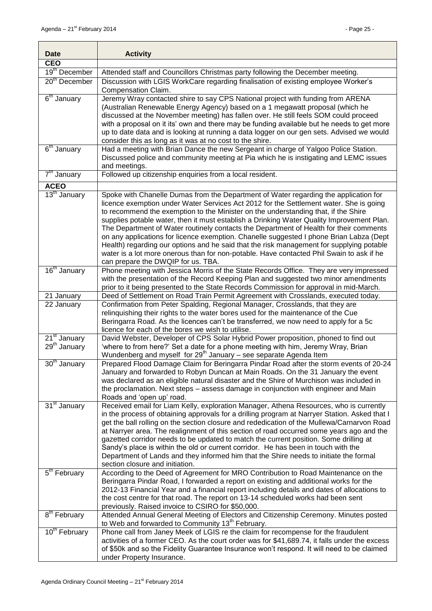| <b>Date</b>               | <b>Activity</b>                                                                                                                                                                        |  |  |
|---------------------------|----------------------------------------------------------------------------------------------------------------------------------------------------------------------------------------|--|--|
| <b>CEO</b>                |                                                                                                                                                                                        |  |  |
| 19 <sup>th</sup> December | Attended staff and Councillors Christmas party following the December meeting.                                                                                                         |  |  |
| 20 <sup>th</sup> December | Discussion with LGIS WorkCare regarding finalisation of existing employee Worker's                                                                                                     |  |  |
|                           | Compensation Claim.                                                                                                                                                                    |  |  |
| $6th$ January             | Jeremy Wray contacted shire to say CPS National project with funding from ARENA                                                                                                        |  |  |
|                           | (Australian Renewable Energy Agency) based on a 1 megawatt proposal (which he                                                                                                          |  |  |
|                           | discussed at the November meeting) has fallen over. He still feels SOM could proceed                                                                                                   |  |  |
|                           | with a proposal on it its' own and there may be funding available but he needs to get more                                                                                             |  |  |
|                           | up to date data and is looking at running a data logger on our gen sets. Advised we would                                                                                              |  |  |
|                           | consider this as long as it was at no cost to the shire.                                                                                                                               |  |  |
| 6 <sup>th</sup> January   | Had a meeting with Brian Dance the new Sergeant in charge of Yalgoo Police Station.                                                                                                    |  |  |
|                           | Discussed police and community meeting at Pia which he is instigating and LEMC issues                                                                                                  |  |  |
|                           | and meetings.                                                                                                                                                                          |  |  |
| 7 <sup>th</sup> January   | Followed up citizenship enquiries from a local resident.                                                                                                                               |  |  |
| <b>ACEO</b>               |                                                                                                                                                                                        |  |  |
| 13 <sup>th</sup> January  | Spoke with Chanelle Dumas from the Department of Water regarding the application for                                                                                                   |  |  |
|                           | licence exemption under Water Services Act 2012 for the Settlement water. She is going                                                                                                 |  |  |
|                           | to recommend the exemption to the Minister on the understanding that, if the Shire                                                                                                     |  |  |
|                           | supplies potable water, then it must establish a Drinking Water Quality Improvement Plan.                                                                                              |  |  |
|                           | The Department of Water routinely contacts the Department of Health for their comments                                                                                                 |  |  |
|                           | on any applications for licence exemption. Chanelle suggested I phone Brian Labza (Dept                                                                                                |  |  |
|                           | Health) regarding our options and he said that the risk management for supplying potable                                                                                               |  |  |
|                           | water is a lot more onerous than for non-potable. Have contacted Phil Swain to ask if he                                                                                               |  |  |
| 16 <sup>th</sup> January  | can prepare the DWQIP for us. TBA.                                                                                                                                                     |  |  |
|                           | Phone meeting with Jessica Morris of the State Records Office. They are very impressed                                                                                                 |  |  |
|                           | with the presentation of the Record Keeping Plan and suggested two minor amendments<br>prior to it being presented to the State Records Commission for approval in mid-March.          |  |  |
| 21 January                | Deed of Settlement on Road Train Permit Agreement with Crosslands, executed today.                                                                                                     |  |  |
| 22 January                | Confirmation from Peter Spalding, Regional Manager, Crosslands, that they are                                                                                                          |  |  |
|                           | relinquishing their rights to the water bores used for the maintenance of the Cue                                                                                                      |  |  |
|                           | Beringarra Road. As the licences can't be transferred, we now need to apply for a 5c                                                                                                   |  |  |
|                           | licence for each of the bores we wish to utilise.                                                                                                                                      |  |  |
| 21 <sup>st</sup> January  | David Webster, Developer of CPS Solar Hybrid Power proposition, phoned to find out                                                                                                     |  |  |
| 29 <sup>th</sup> January  | 'where to from here?' Set a date for a phone meeting with him, Jeremy Wray, Brian                                                                                                      |  |  |
|                           | Wundenberg and myself for 29 <sup>th</sup> January - see separate Agenda Item                                                                                                          |  |  |
| 30 <sup>th</sup> January  | Prepared Flood Damage Claim for Beringarra Pindar Road after the storm events of 20-24                                                                                                 |  |  |
|                           | January and forwarded to Robyn Duncan at Main Roads. On the 31 January the event                                                                                                       |  |  |
|                           | was declared as an eligible natural disaster and the Shire of Murchison was included in                                                                                                |  |  |
|                           | the proclamation. Next steps - assess damage in conjunction with engineer and Main                                                                                                     |  |  |
|                           | Roads and 'open up' road.                                                                                                                                                              |  |  |
| 31 <sup>st</sup> January  | Received email for Liam Kelly, exploration Manager, Athena Resources, who is currently                                                                                                 |  |  |
|                           | in the process of obtaining approvals for a drilling program at Narryer Station. Asked that I                                                                                          |  |  |
|                           | get the ball rolling on the section closure and rededication of the Mullewa/Carnarvon Road<br>at Narryer area. The realignment of this section of road occurred some years ago and the |  |  |
|                           | gazetted corridor needs to be updated to match the current position. Some drilling at                                                                                                  |  |  |
|                           | Sandy's place is within the old or current corridor. He has been in touch with the                                                                                                     |  |  |
|                           | Department of Lands and they informed him that the Shire needs to initiate the formal                                                                                                  |  |  |
|                           | section closure and initiation.                                                                                                                                                        |  |  |
| 5 <sup>th</sup> February  | According to the Deed of Agreement for MRO Contribution to Road Maintenance on the                                                                                                     |  |  |
|                           | Beringarra Pindar Road, I forwarded a report on existing and additional works for the                                                                                                  |  |  |
|                           | 2012-13 Financial Year and a financial report including details and dates of allocations to                                                                                            |  |  |
|                           | the cost centre for that road. The report on 13-14 scheduled works had been sent                                                                                                       |  |  |
|                           | previously. Raised invoice to CSIRO for \$50,000.                                                                                                                                      |  |  |
| 8 <sup>th</sup> February  | Attended Annual General Meeting of Electors and Citizenship Ceremony. Minutes posted                                                                                                   |  |  |
|                           | to Web and forwarded to Community 13 <sup>th</sup> February.                                                                                                                           |  |  |
| 10 <sup>th</sup> February | Phone call from Janey Meek of LGIS re the claim for recompense for the fraudulent                                                                                                      |  |  |
|                           | activities of a former CEO. As the court order was for \$41,689.74, it falls under the excess                                                                                          |  |  |
|                           | of \$50k and so the Fidelity Guarantee Insurance won't respond. It will need to be claimed                                                                                             |  |  |
|                           | under Property Insurance.                                                                                                                                                              |  |  |